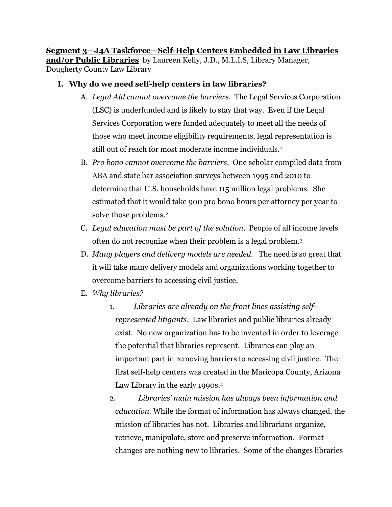**Segment 3—J4A Taskforce—Self-Help Centers Embedded in Law Libraries and/or Public Libraries** by Laureen Kelly, J.D., M.L.I.S, Library Manager, Dougherty County Law Library

## **I. Why do we need self-help centers in law libraries?**

- A. *Legal Aid cannot overcome the barriers*. The Legal Services Corporation (LSC) is underfunded and is likely to stay that way. Even if the Legal Services Corporation were funded adequately to meet all the needs of those who meet income eligibility requirements, legal representation is still out of reach for most moderate income individuals.<sup>1</sup>
- B. *Pro bono cannot overcome the barriers*. One scholar compiled data from ABA and state bar association surveys between 1995 and 2010 to determine that U.S. households have 115 million legal problems. She estimated that it would take 900 pro bono hours per attorney per year to solve those problems.<sup>2</sup>
- C. *Legal education must be part of the solution*. People of all income levels often do not recognize when their problem is a legal problem.<sup>3</sup>
- D. *Many players and delivery models are needed.* The need is so great that it will take many delivery models and organizations working together to overcome barriers to accessing civil justice.
- E. *Why libraries?*
	- 1. *Libraries are already on the front lines assisting selfrepresented litigants*. Law libraries and public libraries already exist. No new organization has to be invented in order to leverage the potential that libraries represent. Libraries can play an important part in removing barriers to accessing civil justice. The first self-help centers was created in the Maricopa County, Arizona Law Library in the early 1990s.<sup>4</sup>
	- 2. *Libraries' main mission has always been information and education.* While the format of information has always changed, the mission of libraries has not. Libraries and librarians organize, retrieve, manipulate, store and preserve information. Format changes are nothing new to libraries. Some of the changes libraries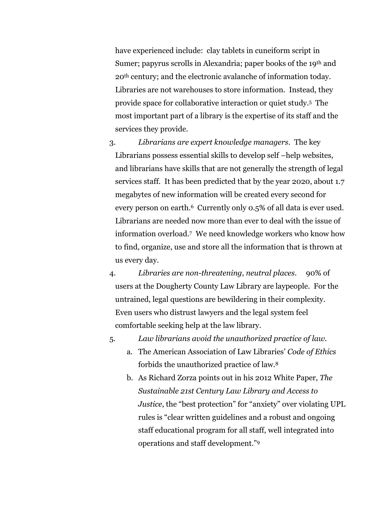have experienced include: clay tablets in cuneiform script in Sumer; papyrus scrolls in Alexandria; paper books of the 19<sup>th</sup> and 20th century; and the electronic avalanche of information today. Libraries are not warehouses to store information. Instead, they provide space for collaborative interaction or quiet study.5 The most important part of a library is the expertise of its staff and the services they provide.

3. *Librarians are expert knowledge managers*. The key Librarians possess essential skills to develop self –help websites, and librarians have skills that are not generally the strength of legal services staff. It has been predicted that by the year 2020, about 1.7 megabytes of new information will be created every second for every person on earth.<sup>6</sup> Currently only 0.5% of all data is ever used. Librarians are needed now more than ever to deal with the issue of information overload.7 We need knowledge workers who know how to find, organize, use and store all the information that is thrown at us every day.

- 4. *Libraries are non-threatening, neutral places*. 90% of users at the Dougherty County Law Library are laypeople. For the untrained, legal questions are bewildering in their complexity. Even users who distrust lawyers and the legal system feel comfortable seeking help at the law library.
- 5. *Law librarians avoid the unauthorized practice of law.*
	- a. The American Association of Law Libraries' *Code of Ethics* forbids the unauthorized practice of law.<sup>8</sup>
	- b. As Richard Zorza points out in his 2012 White Paper, *The Sustainable 21st Century Law Library and Access to Justice*, the "best protection" for "anxiety" over violating UPL rules is "clear written guidelines and a robust and ongoing staff educational program for all staff, well integrated into operations and staff development."<sup>9</sup>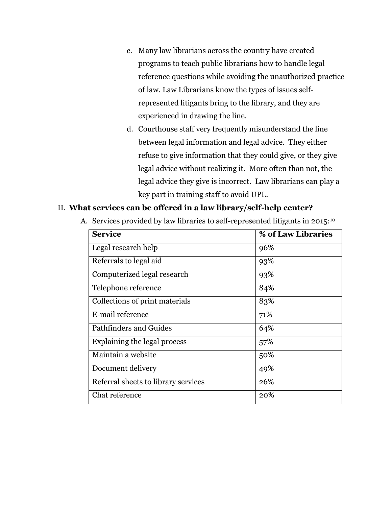- c. Many law librarians across the country have created programs to teach public librarians how to handle legal reference questions while avoiding the unauthorized practice of law. Law Librarians know the types of issues selfrepresented litigants bring to the library, and they are experienced in drawing the line.
- d. Courthouse staff very frequently misunderstand the line between legal information and legal advice. They either refuse to give information that they could give, or they give legal advice without realizing it. More often than not, the legal advice they give is incorrect. Law librarians can play a key part in training staff to avoid UPL.

## II. **What services can be offered in a law library/self-help center?**

A. Services provided by law libraries to self-represented litigants in 2015:<sup>10</sup>

| <b>Service</b>                      | % of Law Libraries |
|-------------------------------------|--------------------|
| Legal research help                 | 96%                |
| Referrals to legal aid              | 93%                |
| Computerized legal research         | 93%                |
| Telephone reference                 | 84%                |
| Collections of print materials      | 83%                |
| E-mail reference                    | 71%                |
| Pathfinders and Guides              | 64%                |
| Explaining the legal process        | 57%                |
| Maintain a website                  | 50%                |
| Document delivery                   | 49%                |
| Referral sheets to library services | 26%                |
| Chat reference                      | 20%                |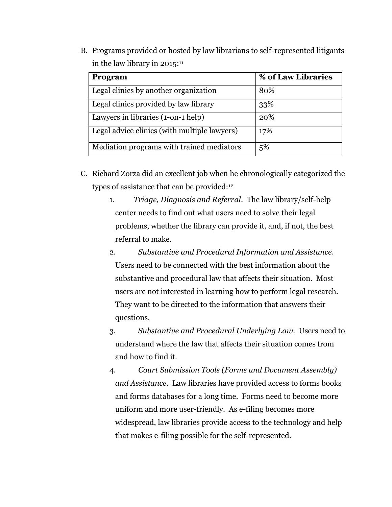B. Programs provided or hosted by law librarians to self-represented litigants in the law library in 2015: 11

| Program                                      | % of Law Libraries |
|----------------------------------------------|--------------------|
| Legal clinics by another organization        | 80%                |
| Legal clinics provided by law library        | 33%                |
| Lawyers in libraries (1-on-1 help)           | 20%                |
| Legal advice clinics (with multiple lawyers) | 17%                |
| Mediation programs with trained mediators    | 5%                 |

- C. Richard Zorza did an excellent job when he chronologically categorized the types of assistance that can be provided:<sup>12</sup>
	- 1. *Triage, Diagnosis and Referral*. The law library/self-help center needs to find out what users need to solve their legal problems, whether the library can provide it, and, if not, the best referral to make.
	- 2. *Substantive and Procedural Information and Assistance*. Users need to be connected with the best information about the substantive and procedural law that affects their situation. Most users are not interested in learning how to perform legal research. They want to be directed to the information that answers their questions.
	- 3. *Substantive and Procedural Underlying Law*. Users need to understand where the law that affects their situation comes from and how to find it.
	- 4. *Court Submission Tools (Forms and Document Assembly) and Assistance*. Law libraries have provided access to forms books and forms databases for a long time. Forms need to become more uniform and more user-friendly. As e-filing becomes more widespread, law libraries provide access to the technology and help that makes e-filing possible for the self-represented.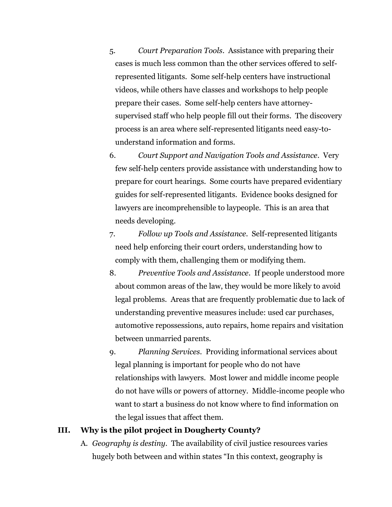5. *Court Preparation Tools*. Assistance with preparing their cases is much less common than the other services offered to selfrepresented litigants. Some self-help centers have instructional videos, while others have classes and workshops to help people prepare their cases. Some self-help centers have attorneysupervised staff who help people fill out their forms. The discovery process is an area where self-represented litigants need easy-tounderstand information and forms.

6. *Court Support and Navigation Tools and Assistance*. Very few self-help centers provide assistance with understanding how to prepare for court hearings. Some courts have prepared evidentiary guides for self-represented litigants. Evidence books designed for lawyers are incomprehensible to laypeople. This is an area that needs developing.

- 7. *Follow up Tools and Assistance*. Self-represented litigants need help enforcing their court orders, understanding how to comply with them, challenging them or modifying them.
- 8. *Preventive Tools and Assistance*. If people understood more about common areas of the law, they would be more likely to avoid legal problems. Areas that are frequently problematic due to lack of understanding preventive measures include: used car purchases, automotive repossessions, auto repairs, home repairs and visitation between unmarried parents.
- 9. *Planning Services*. Providing informational services about legal planning is important for people who do not have relationships with lawyers. Most lower and middle income people do not have wills or powers of attorney. Middle-income people who want to start a business do not know where to find information on the legal issues that affect them.

## **III. Why is the pilot project in Dougherty County?**

A. *Geography is destiny*. The availability of civil justice resources varies hugely both between and within states "In this context, geography is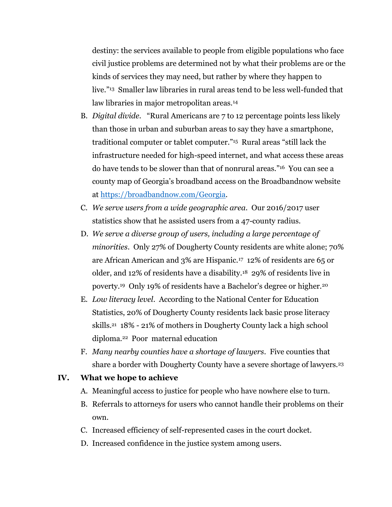destiny: the services available to people from eligible populations who face civil justice problems are determined not by what their problems are or the kinds of services they may need, but rather by where they happen to live."13 Smaller law libraries in rural areas tend to be less well-funded that law libraries in major metropolitan areas.<sup>14</sup>

- B. *Digital divide.* "Rural Americans are 7 to 12 percentage points less likely than those in urban and suburban areas to say they have a smartphone, traditional computer or tablet computer."<sup>15</sup> Rural areas "still lack the infrastructure needed for high-speed internet, and what access these areas do have tends to be slower than that of nonrural areas." <sup>16</sup> You can see a county map of Georgia's broadband access on the Broadbandnow website at [https://broadbandnow.com/Georgia.](https://broadbandnow.com/Georgia)
- C. *We serve users from a wide geographic area*. Our 2016/2017 user statistics show that he assisted users from a 47-county radius.
- D. *We serve a diverse group of users, including a large percentage of minorities*. Only 27% of Dougherty County residents are white alone; 70% are African American and 3% are Hispanic.17 12% of residents are 65 or older, and 12% of residents have a disability.18 29% of residents live in poverty.<sup>19</sup> Only 19% of residents have a Bachelor's degree or higher.<sup>20</sup>
- E. *Low literacy level*. According to the National Center for Education Statistics, 20% of Dougherty County residents lack basic prose literacy skills.<sup>21</sup> 18% - 21% of mothers in Dougherty County lack a high school diploma.22 Poor maternal education
- F. *Many nearby counties have a shortage of lawyers*. Five counties that share a border with Dougherty County have a severe shortage of lawyers.<sup>23</sup>

## **IV. What we hope to achieve**

- A. Meaningful access to justice for people who have nowhere else to turn.
- B. Referrals to attorneys for users who cannot handle their problems on their own.
- C. Increased efficiency of self-represented cases in the court docket.
- D. Increased confidence in the justice system among users.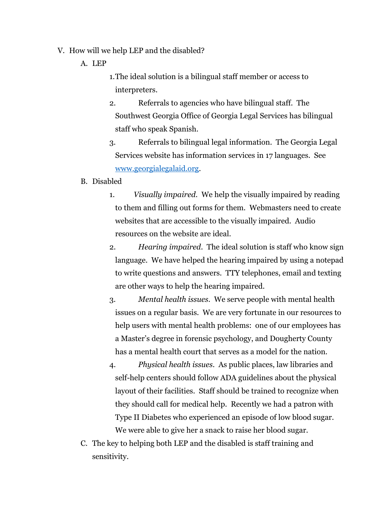- V. How will we help LEP and the disabled?
	- A. LEP
- 1.The ideal solution is a bilingual staff member or access to interpreters.
- 2. Referrals to agencies who have bilingual staff. The Southwest Georgia Office of Georgia Legal Services has bilingual staff who speak Spanish.
- 3. Referrals to bilingual legal information. The Georgia Legal Services website has information services in 17 languages. See [www.georgialegalaid.org.](http://www.georgialegalaid.org/)
- B. Disabled
	- 1. *Visually impaired*. We help the visually impaired by reading to them and filling out forms for them. Webmasters need to create websites that are accessible to the visually impaired. Audio resources on the website are ideal.
	- 2. *Hearing impaired*. The ideal solution is staff who know sign language. We have helped the hearing impaired by using a notepad to write questions and answers. TTY telephones, email and texting are other ways to help the hearing impaired.
	- 3. *Mental health issues*. We serve people with mental health issues on a regular basis. We are very fortunate in our resources to help users with mental health problems: one of our employees has a Master's degree in forensic psychology, and Dougherty County has a mental health court that serves as a model for the nation.
	- 4. *Physical health issues*. As public places, law libraries and self-help centers should follow ADA guidelines about the physical layout of their facilities. Staff should be trained to recognize when they should call for medical help. Recently we had a patron with Type II Diabetes who experienced an episode of low blood sugar. We were able to give her a snack to raise her blood sugar.
- C. The key to helping both LEP and the disabled is staff training and sensitivity.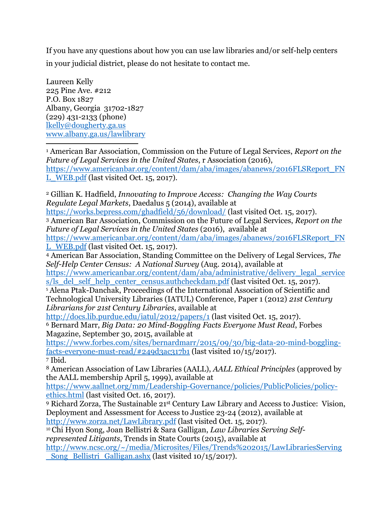If you have any questions about how you can use law libraries and/or self-help centers in your judicial district, please do not hesitate to contact me.

Laureen Kelly 225 Pine Ave. #212 P.O. Box 1827 Albany, Georgia 31702-1827 (229) 431-2133 (phone) [lkelly@dougherty.ga.us](mailto:lkelly@dougherty.ga.us) [www.albany.ga.us/lawlibrary](http://www.albany.ga.us/lawlibrary)

 $\overline{a}$ <sup>1</sup> American Bar Association, Commission on the Future of Legal Services, *Report on the Future of Legal Services in the United States*, r Association (2016), [https://www.americanbar.org/content/dam/aba/images/abanews/2016FLSReport\\_FN](https://www.americanbar.org/content/dam/aba/images/abanews/2016FLSReport_FNL_WEB.pdf)  $L$  WEB.pdf (last visited Oct. 15, 2017).

<sup>2</sup> Gillian K. Hadfield, *Innovating to Improve Access: Changing the Way Courts Regulate Legal Markets*, Daedalus 5 (2014), available at <https://works.bepress.com/ghadfield/56/download/> (last visited Oct. 15, 2017). <sup>3</sup> American Bar Association, Commission on the Future of Legal Services, *Report on the Future of Legal Services in the United States* (2016), available at [https://www.americanbar.org/content/dam/aba/images/abanews/2016FLSReport\\_FN](https://www.americanbar.org/content/dam/aba/images/abanews/2016FLSReport_FNL_WEB.pdf) L WEB.pdf (last visited Oct. 15, 2017). <sup>4</sup> American Bar Association, Standing Committee on the Delivery of Legal Services, *The Self-Help Center Census: A National Survey* (Aug. 2014), available at [https://www.americanbar.org/content/dam/aba/administrative/delivery\\_legal\\_service](https://www.americanbar.org/content/dam/aba/administrative/delivery_legal_services/ls_del_self_help_center_census.authcheckdam.pdf) [s/ls\\_del\\_self\\_help\\_center\\_census.authcheckdam.pdf](https://www.americanbar.org/content/dam/aba/administrative/delivery_legal_services/ls_del_self_help_center_census.authcheckdam.pdf) (last visited Oct. 15, 2017). <sup>5</sup> Alena Ptak-Danchak, Proceedings of the International Association of Scientific and Technological University Libraries (IATUL) Conference, Paper 1 (2012) *21st Century Librarians for 21st Century Libraries*, available at <http://docs.lib.purdue.edu/iatul/2012/papers/1> (last visited Oct. 15, 2017). <sup>6</sup> Bernard Marr, *Big Data: 20 Mind-Boggling Facts Everyone Must Read*, Forbes Magazine, September 30, 2015, available at [https://www.forbes.com/sites/bernardmarr/2015/09/30/big-data-20-mind-boggling](https://www.forbes.com/sites/bernardmarr/2015/09/30/big-data-20-mind-boggling-facts-everyone-must-read/#249d3ac317b1)[facts-everyone-must-read/#249d3ac317b1](https://www.forbes.com/sites/bernardmarr/2015/09/30/big-data-20-mind-boggling-facts-everyone-must-read/#249d3ac317b1) (last visited 10/15/2017).

<sup>7</sup> Ibid.

<sup>8</sup> American Association of Law Libraries (AALL), *AALL Ethical Principles* (approved by the AALL membership April 5, 1999), available at

[https://www.aallnet.org/mm/Leadership-Governance/policies/PublicPolicies/policy](https://www.aallnet.org/mm/Leadership-Governance/policies/PublicPolicies/policy-ethics.html)[ethics.html](https://www.aallnet.org/mm/Leadership-Governance/policies/PublicPolicies/policy-ethics.html) (last visited Oct. 16, 2017).

<sup>9</sup> Richard Zorza, The Sustainable 21st Century Law Library and Access to Justice: Vision, Deployment and Assessment for Access to Justice 23-24 (2012), available at

<http://www.zorza.net/LawLibrary.pdf> (last visited Oct. 15, 2017).

<sup>10</sup> Chi Hyon Song, Joan Bellistri & Sara Galligan, *Law Libraries Serving Selfrepresented Litigants*, Trends in State Courts (2015), available at

[http://www.ncsc.org/~/media/Microsites/Files/Trends%202015/LawLibrariesServing](http://www.ncsc.org/~/media/Microsites/Files/Trends%202015/LawLibrariesServing_Song_Bellistri_Galligan.ashx) Song\_Bellistri\_Galligan.ashx (last visited 10/15/2017).